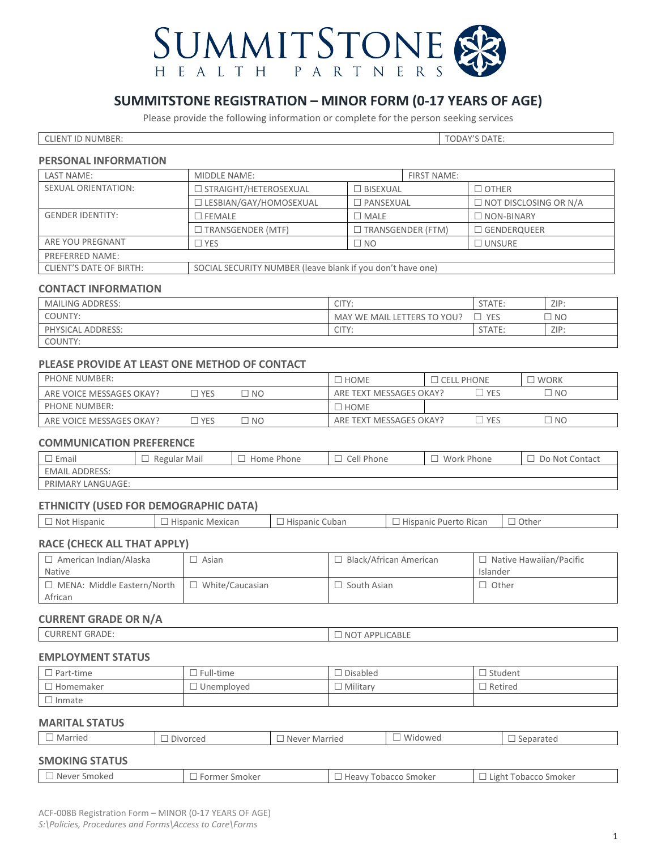

## **SUMMITSTONE REGISTRATION – MINOR FORM (0-17 YEARS OF AGE)**

Please provide the following information or complete for the person seeking services

CLIENT ID NUMBER: TODAY'S DATE:

#### **PERSONAL INFORMATION**

| LAST NAME:                     | MIDDLE NAME:                               |                                                            | <b>FIRST NAME:</b> |                    |  |                              |
|--------------------------------|--------------------------------------------|------------------------------------------------------------|--------------------|--------------------|--|------------------------------|
| <b>SEXUAL ORIENTATION:</b>     | □ STRAIGHT/HETEROSEXUAL<br>$\Box$ BISEXUAL |                                                            | $\Box$ other       |                    |  |                              |
|                                | □ LESBIAN/GAY/HOMOSEXUAL                   | $\square$ PANSEXUAL                                        |                    |                    |  | $\Box$ NOT DISCLOSING OR N/A |
| <b>GENDER IDENTITY:</b>        | ∃ FEMALE                                   | $\square$ Male                                             |                    | $\Box$ NON-BINARY  |  |                              |
|                                | $\Box$ TRANSGENDER (MTF)                   | $\Box$ TRANSGENDER (FTM)                                   |                    | $\Box$ GENDERQUEER |  |                              |
| ARE YOU PREGNANT               | $\sqsupset$ YES                            | $\square$ NO                                               |                    | $\square$ unsure   |  |                              |
| PREFERRED NAME:                |                                            |                                                            |                    |                    |  |                              |
| <b>CLIENT'S DATE OF BIRTH:</b> |                                            | SOCIAL SECURITY NUMBER (leave blank if you don't have one) |                    |                    |  |                              |

## **CONTACT INFORMATION**

| <b>MAILING ADDRESS:</b> | CITY:                       | STATE:     | ZIP:           |
|-------------------------|-----------------------------|------------|----------------|
| COUNTY:                 | MAY WE MAIL LETTERS TO YOU? | <b>YES</b> | N <sub>O</sub> |
| PHYSICAL ADDRESS:       | <b>CITY</b>                 | STATE:     | ZIP:           |
| COUNTY:                 |                             |            |                |

## **PLEASE PROVIDE AT LEAST ONE METHOD OF CONTACT**

| <b>PHONE NUMBER:</b>     |       |    | HOME                    | CELL PHONE | <b>WORK</b> |    |
|--------------------------|-------|----|-------------------------|------------|-------------|----|
| ARE VOICE MESSAGES OKAY? | l yes | NO | ARE TEXT MESSAGES OKAY? | <b>YES</b> |             | NO |
| <b>PHONE NUMBER:</b>     |       |    | <b>HOME</b>             |            |             |    |
| ARE VOICE MESSAGES OKAY? | ] YES | NO | ARE TEXT MESSAGES OKAY? | <b>YES</b> |             | NO |

## **COMMUNICATION PREFERENCE**

| Email                 | Regular Mail | Home Phone | Cell Phone | Work Phone | Do Not Contact |
|-----------------------|--------------|------------|------------|------------|----------------|
| <b>EMAIL ADDRESS:</b> |              |            |            |            |                |
| PRIMARY LANGUAGE:     |              |            |            |            |                |

## **ETHNICITY (USED FOR DEMOGRAPHIC DATA)**

| Hispanic<br>201C<br>l Not | Cubar<br>Mexican | $-$<br>$I \cap \Gamma$<br>m <sub>1</sub><br>'ILIL<br>LIE.<br>. L U | Other<br>` Ricai |
|---------------------------|------------------|--------------------------------------------------------------------|------------------|
|---------------------------|------------------|--------------------------------------------------------------------|------------------|

## **RACE (CHECK ALL THAT APPLY)**

| $\Box$ American Indian/Alaska                | Asian             | Black/African American | $\Box$ Native Hawaiian/Pacific |
|----------------------------------------------|-------------------|------------------------|--------------------------------|
| Native                                       |                   |                        | Islander                       |
| $\Box$ MENA: Middle Eastern/North<br>African | l White/Caucasian | South Asian            | $\Box$ Other                   |
|                                              |                   |                        |                                |

#### **CURRENT GRADE OR N/A**

| GRADE:<br>l IR.<br>KREN. | $\triangle$ DDII $\cap$<br>≘ABL∟<br>' NO<br>$\cdots$ |
|--------------------------|------------------------------------------------------|
|                          |                                                      |

## **EMPLOYMENT STATUS**

| $\Box$ Part-time | Full-time    | <b>Disabled</b> | Student   |
|------------------|--------------|-----------------|-----------|
| l Homemaker      | l Unemployed | Military        | コ Retired |
| l Inmate         |              |                 |           |

## **MARITAL STATUS**

| Married               | Divorced<br>l Never Married |  | Widowed | Separated |
|-----------------------|-----------------------------|--|---------|-----------|
| <b>SMOKING STATUS</b> |                             |  |         |           |

# ☐ Never Smoked ☐ Former Smoker ☐ Heavy Tobacco Smoker ☐ Light Tobacco Smoker